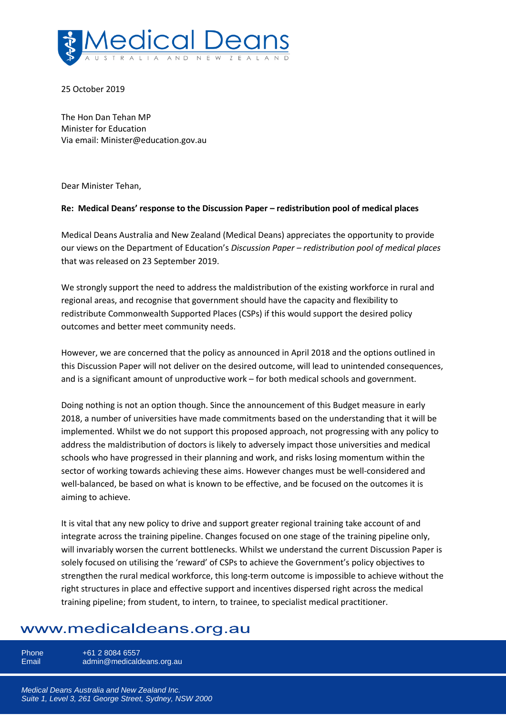

25 October 2019

The Hon Dan Tehan MP Minister for Education Via email: Minister@education.gov.au

Dear Minister Tehan,

### **Re: Medical Deans' response to the Discussion Paper – redistribution pool of medical places**

Medical Deans Australia and New Zealand (Medical Deans) appreciates the opportunity to provide our views on the Department of Education's *Discussion Paper – redistribution pool of medical places* that was released on 23 September 2019.

We strongly support the need to address the maldistribution of the existing workforce in rural and regional areas, and recognise that government should have the capacity and flexibility to redistribute Commonwealth Supported Places (CSPs) if this would support the desired policy outcomes and better meet community needs.

However, we are concerned that the policy as announced in April 2018 and the options outlined in this Discussion Paper will not deliver on the desired outcome, will lead to unintended consequences, and is a significant amount of unproductive work – for both medical schools and government.

Doing nothing is not an option though. Since the announcement of this Budget measure in early 2018, a number of universities have made commitments based on the understanding that it will be implemented. Whilst we do not support this proposed approach, not progressing with any policy to address the maldistribution of doctors is likely to adversely impact those universities and medical schools who have progressed in their planning and work, and risks losing momentum within the sector of working towards achieving these aims. However changes must be well-considered and well-balanced, be based on what is known to be effective, and be focused on the outcomes it is aiming to achieve.

It is vital that any new policy to drive and support greater regional training take account of and integrate across the training pipeline. Changes focused on one stage of the training pipeline only, will invariably worsen the current bottlenecks. Whilst we understand the current Discussion Paper is solely focused on utilising the 'reward' of CSPs to achieve the Government's policy objectives to strengthen the rural medical workforce, this long-term outcome is impossible to achieve without the right structures in place and effective support and incentives dispersed right across the medical training pipeline; from student, to intern, to trainee, to specialist medical practitioner.

# www.medicaldeans.org.au

Phone +61 2 8084 6557<br>Email admin@medicald admin@medicaldeans.org.au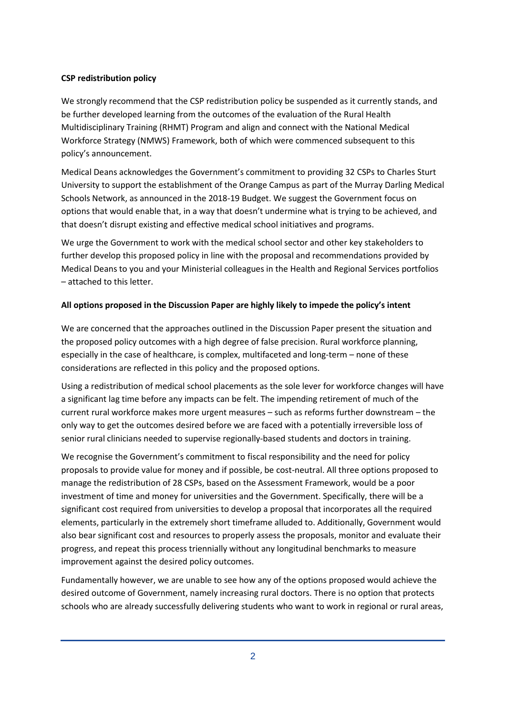## **CSP redistribution policy**

We strongly recommend that the CSP redistribution policy be suspended as it currently stands, and be further developed learning from the outcomes of the evaluation of the Rural Health Multidisciplinary Training (RHMT) Program and align and connect with the National Medical Workforce Strategy (NMWS) Framework, both of which were commenced subsequent to this policy's announcement.

Medical Deans acknowledges the Government's commitment to providing 32 CSPs to Charles Sturt University to support the establishment of the Orange Campus as part of the Murray Darling Medical Schools Network, as announced in the 2018-19 Budget. We suggest the Government focus on options that would enable that, in a way that doesn't undermine what is trying to be achieved, and that doesn't disrupt existing and effective medical school initiatives and programs.

We urge the Government to work with the medical school sector and other key stakeholders to further develop this proposed policy in line with the proposal and recommendations provided by Medical Deans to you and your Ministerial colleagues in the Health and Regional Services portfolios – attached to this letter.

## **All options proposed in the Discussion Paper are highly likely to impede the policy's intent**

We are concerned that the approaches outlined in the Discussion Paper present the situation and the proposed policy outcomes with a high degree of false precision. Rural workforce planning, especially in the case of healthcare, is complex, multifaceted and long-term – none of these considerations are reflected in this policy and the proposed options.

Using a redistribution of medical school placements as the sole lever for workforce changes will have a significant lag time before any impacts can be felt. The impending retirement of much of the current rural workforce makes more urgent measures – such as reforms further downstream – the only way to get the outcomes desired before we are faced with a potentially irreversible loss of senior rural clinicians needed to supervise regionally-based students and doctors in training.

We recognise the Government's commitment to fiscal responsibility and the need for policy proposals to provide value for money and if possible, be cost-neutral. All three options proposed to manage the redistribution of 28 CSPs, based on the Assessment Framework, would be a poor investment of time and money for universities and the Government. Specifically, there will be a significant cost required from universities to develop a proposal that incorporates all the required elements, particularly in the extremely short timeframe alluded to. Additionally, Government would also bear significant cost and resources to properly assess the proposals, monitor and evaluate their progress, and repeat this process triennially without any longitudinal benchmarks to measure improvement against the desired policy outcomes.

Fundamentally however, we are unable to see how any of the options proposed would achieve the desired outcome of Government, namely increasing rural doctors. There is no option that protects schools who are already successfully delivering students who want to work in regional or rural areas,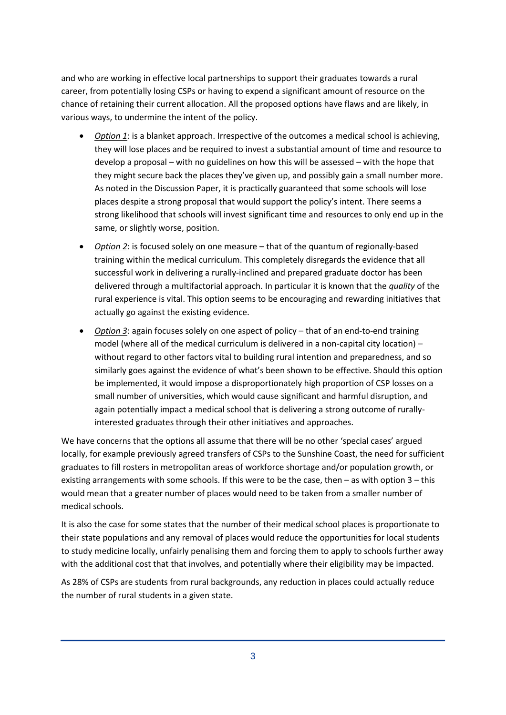and who are working in effective local partnerships to support their graduates towards a rural career, from potentially losing CSPs or having to expend a significant amount of resource on the chance of retaining their current allocation. All the proposed options have flaws and are likely, in various ways, to undermine the intent of the policy.

- *Option 1*: is a blanket approach. Irrespective of the outcomes a medical school is achieving, they will lose places and be required to invest a substantial amount of time and resource to develop a proposal – with no guidelines on how this will be assessed – with the hope that they might secure back the places they've given up, and possibly gain a small number more. As noted in the Discussion Paper, it is practically guaranteed that some schools will lose places despite a strong proposal that would support the policy's intent. There seems a strong likelihood that schools will invest significant time and resources to only end up in the same, or slightly worse, position.
- *Option 2*: is focused solely on one measure that of the quantum of regionally-based training within the medical curriculum. This completely disregards the evidence that all successful work in delivering a rurally-inclined and prepared graduate doctor has been delivered through a multifactorial approach. In particular it is known that the *quality* of the rural experience is vital. This option seems to be encouraging and rewarding initiatives that actually go against the existing evidence.
- *Option 3*: again focuses solely on one aspect of policy that of an end-to-end training model (where all of the medical curriculum is delivered in a non-capital city location) – without regard to other factors vital to building rural intention and preparedness, and so similarly goes against the evidence of what's been shown to be effective. Should this option be implemented, it would impose a disproportionately high proportion of CSP losses on a small number of universities, which would cause significant and harmful disruption, and again potentially impact a medical school that is delivering a strong outcome of rurallyinterested graduates through their other initiatives and approaches.

We have concerns that the options all assume that there will be no other 'special cases' argued locally, for example previously agreed transfers of CSPs to the Sunshine Coast, the need for sufficient graduates to fill rosters in metropolitan areas of workforce shortage and/or population growth, or existing arrangements with some schools. If this were to be the case, then – as with option 3 – this would mean that a greater number of places would need to be taken from a smaller number of medical schools.

It is also the case for some states that the number of their medical school places is proportionate to their state populations and any removal of places would reduce the opportunities for local students to study medicine locally, unfairly penalising them and forcing them to apply to schools further away with the additional cost that that involves, and potentially where their eligibility may be impacted.

As 28% of CSPs are students from rural backgrounds, any reduction in places could actually reduce the number of rural students in a given state.